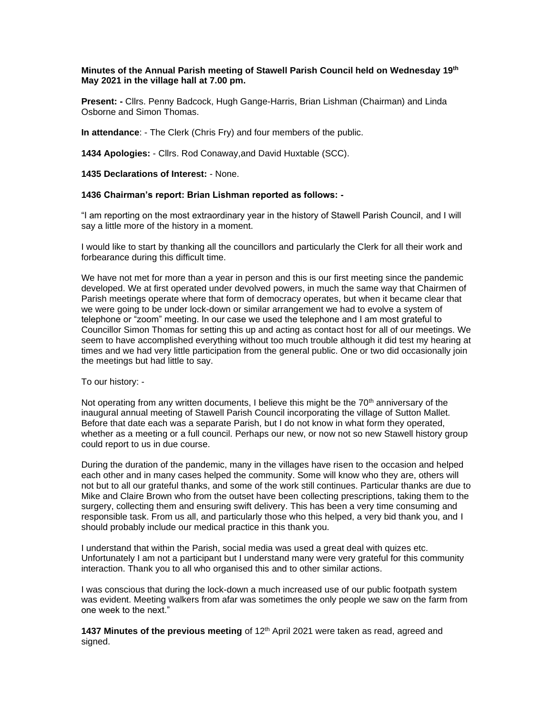## **Minutes of the Annual Parish meeting of Stawell Parish Council held on Wednesday 19 th May 2021 in the village hall at 7.00 pm.**

**Present: -** Cllrs. Penny Badcock, Hugh Gange-Harris, Brian Lishman (Chairman) and Linda Osborne and Simon Thomas.

**In attendance**: - The Clerk (Chris Fry) and four members of the public.

**1434 Apologies:** - Cllrs. Rod Conaway,and David Huxtable (SCC).

**1435 Declarations of Interest:** - None.

## **1436 Chairman's report: Brian Lishman reported as follows: -**

"I am reporting on the most extraordinary year in the history of Stawell Parish Council, and I will say a little more of the history in a moment.

I would like to start by thanking all the councillors and particularly the Clerk for all their work and forbearance during this difficult time.

We have not met for more than a year in person and this is our first meeting since the pandemic developed. We at first operated under devolved powers, in much the same way that Chairmen of Parish meetings operate where that form of democracy operates, but when it became clear that we were going to be under lock-down or similar arrangement we had to evolve a system of telephone or "zoom" meeting. In our case we used the telephone and I am most grateful to Councillor Simon Thomas for setting this up and acting as contact host for all of our meetings. We seem to have accomplished everything without too much trouble although it did test my hearing at times and we had very little participation from the general public. One or two did occasionally join the meetings but had little to say.

To our history: -

Not operating from any written documents, I believe this might be the  $70<sup>th</sup>$  anniversary of the inaugural annual meeting of Stawell Parish Council incorporating the village of Sutton Mallet. Before that date each was a separate Parish, but I do not know in what form they operated, whether as a meeting or a full council. Perhaps our new, or now not so new Stawell history group could report to us in due course.

During the duration of the pandemic, many in the villages have risen to the occasion and helped each other and in many cases helped the community. Some will know who they are, others will not but to all our grateful thanks, and some of the work still continues. Particular thanks are due to Mike and Claire Brown who from the outset have been collecting prescriptions, taking them to the surgery, collecting them and ensuring swift delivery. This has been a very time consuming and responsible task. From us all, and particularly those who this helped, a very bid thank you, and I should probably include our medical practice in this thank you.

I understand that within the Parish, social media was used a great deal with quizes etc. Unfortunately I am not a participant but I understand many were very grateful for this community interaction. Thank you to all who organised this and to other similar actions.

I was conscious that during the lock-down a much increased use of our public footpath system was evident. Meeting walkers from afar was sometimes the only people we saw on the farm from one week to the next."

**1437 Minutes of the previous meeting** of 12th April 2021 were taken as read, agreed and signed.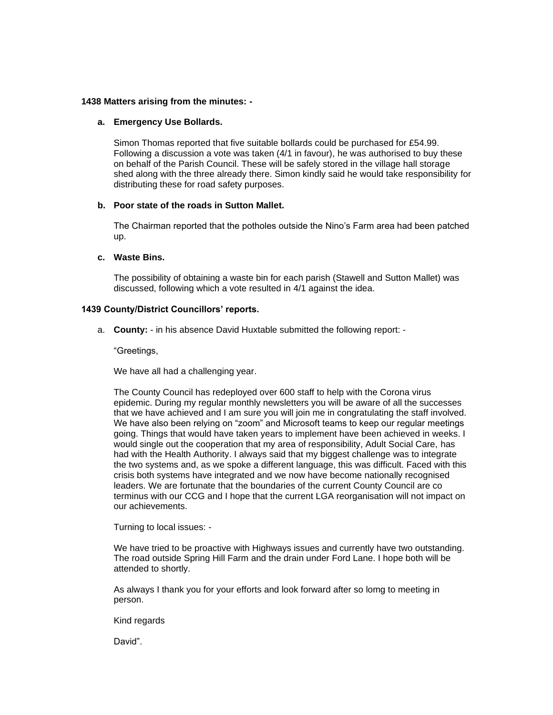## **1438 Matters arising from the minutes: -**

#### **a. Emergency Use Bollards.**

Simon Thomas reported that five suitable bollards could be purchased for £54.99. Following a discussion a vote was taken (4/1 in favour), he was authorised to buy these on behalf of the Parish Council. These will be safely stored in the village hall storage shed along with the three already there. Simon kindly said he would take responsibility for distributing these for road safety purposes.

## **b. Poor state of the roads in Sutton Mallet.**

The Chairman reported that the potholes outside the Nino's Farm area had been patched up.

## **c. Waste Bins.**

The possibility of obtaining a waste bin for each parish (Stawell and Sutton Mallet) was discussed, following which a vote resulted in 4/1 against the idea.

## **1439 County/District Councillors' reports.**

a. **County:** - in his absence David Huxtable submitted the following report: -

"Greetings,

We have all had a challenging year.

The County Council has redeployed over 600 staff to help with the Corona virus epidemic. During my regular monthly newsletters you will be aware of all the successes that we have achieved and I am sure you will join me in congratulating the staff involved. We have also been relying on "zoom" and Microsoft teams to keep our regular meetings going. Things that would have taken years to implement have been achieved in weeks. I would single out the cooperation that my area of responsibility, Adult Social Care, has had with the Health Authority. I always said that my biggest challenge was to integrate the two systems and, as we spoke a different language, this was difficult. Faced with this crisis both systems have integrated and we now have become nationally recognised leaders. We are fortunate that the boundaries of the current County Council are co terminus with our CCG and I hope that the current LGA reorganisation will not impact on our achievements.

Turning to local issues: -

We have tried to be proactive with Highways issues and currently have two outstanding. The road outside Spring Hill Farm and the drain under Ford Lane. I hope both will be attended to shortly.

As always I thank you for your efforts and look forward after so lomg to meeting in person.

Kind regards

David".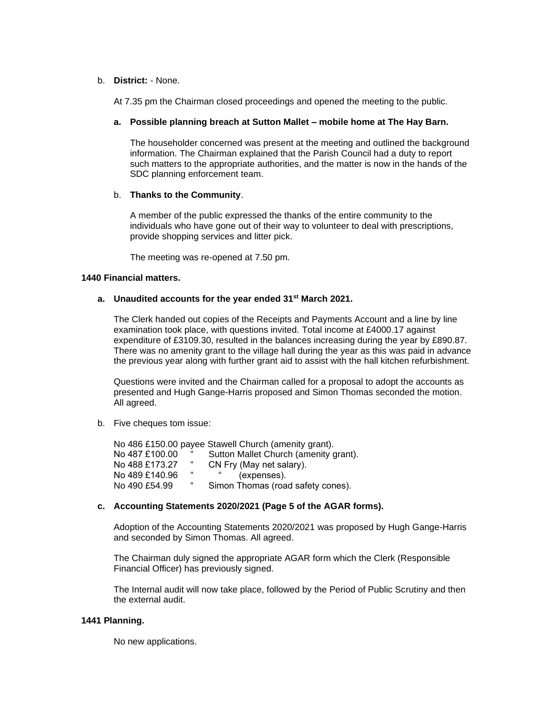# b. **District:** - None.

At 7.35 pm the Chairman closed proceedings and opened the meeting to the public.

## **a. Possible planning breach at Sutton Mallet – mobile home at The Hay Barn.**

The householder concerned was present at the meeting and outlined the background information. The Chairman explained that the Parish Council had a duty to report such matters to the appropriate authorities, and the matter is now in the hands of the SDC planning enforcement team.

## b. **Thanks to the Community**.

A member of the public expressed the thanks of the entire community to the individuals who have gone out of their way to volunteer to deal with prescriptions, provide shopping services and litter pick.

The meeting was re-opened at 7.50 pm.

# **1440 Financial matters.**

# **a. Unaudited accounts for the year ended 31st March 2021.**

The Clerk handed out copies of the Receipts and Payments Account and a line by line examination took place, with questions invited. Total income at £4000.17 against expenditure of £3109.30, resulted in the balances increasing during the year by £890.87. There was no amenity grant to the village hall during the year as this was paid in advance the previous year along with further grant aid to assist with the hall kitchen refurbishment.

Questions were invited and the Chairman called for a proposal to adopt the accounts as presented and Hugh Gange-Harris proposed and Simon Thomas seconded the motion. All agreed.

b. Five cheques tom issue:

No 486 £150.00 payee Stawell Church (amenity grant).<br>No 487 £100.00 " Sutton Mallet Church (amenity o No 487 £100.00 " Sutton Mallet Church (amenity grant).<br>No 488 £173.27 " CN Fry (May net salary). CN Fry (May net salary). No 489 £140.96 " " (expenses).<br>No 490 £54.99 " Simon Thomas (roa Simon Thomas (road safety cones).

# **c. Accounting Statements 2020/2021 (Page 5 of the AGAR forms).**

Adoption of the Accounting Statements 2020/2021 was proposed by Hugh Gange-Harris and seconded by Simon Thomas. All agreed.

The Chairman duly signed the appropriate AGAR form which the Clerk (Responsible Financial Officer) has previously signed.

The Internal audit will now take place, followed by the Period of Public Scrutiny and then the external audit.

## **1441 Planning.**

No new applications.